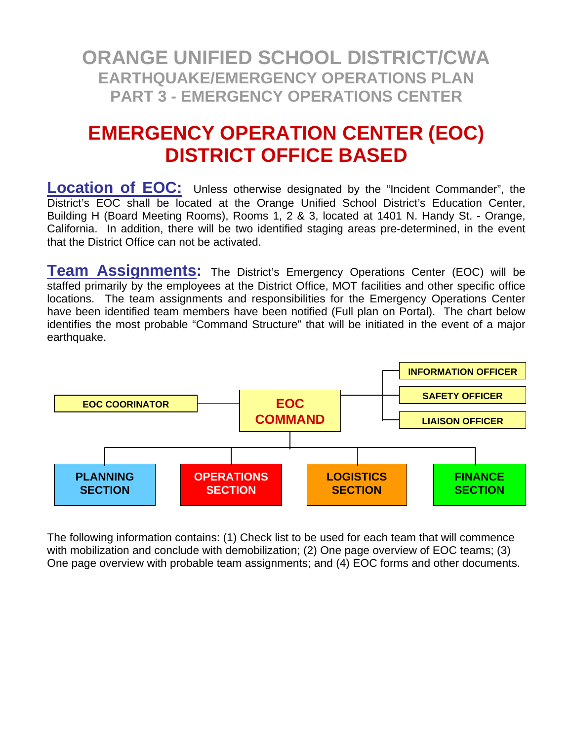### **EMERGENCY OPERATION CENTER (EOC) DISTRICT OFFICE BASED**

**Location of EOC:** Unless otherwise designated by the "Incident Commander", the District's EOC shall be located at the Orange Unified School District's Education Center, Building H (Board Meeting Rooms), Rooms 1, 2 & 3, located at 1401 N. Handy St. - Orange, California. In addition, there will be two identified staging areas pre-determined, in the event that the District Office can not be activated.

**Team Assignments:** The District's Emergency Operations Center (EOC) will be staffed primarily by the employees at the District Office, MOT facilities and other specific office locations. The team assignments and responsibilities for the Emergency Operations Center have been identified team members have been notified (Full plan on Portal). The chart below identifies the most probable "Command Structure" that will be initiated in the event of a major earthquake.



The following information contains: (1) Check list to be used for each team that will commence with mobilization and conclude with demobilization; (2) One page overview of EOC teams; (3) One page overview with probable team assignments; and (4) EOC forms and other documents.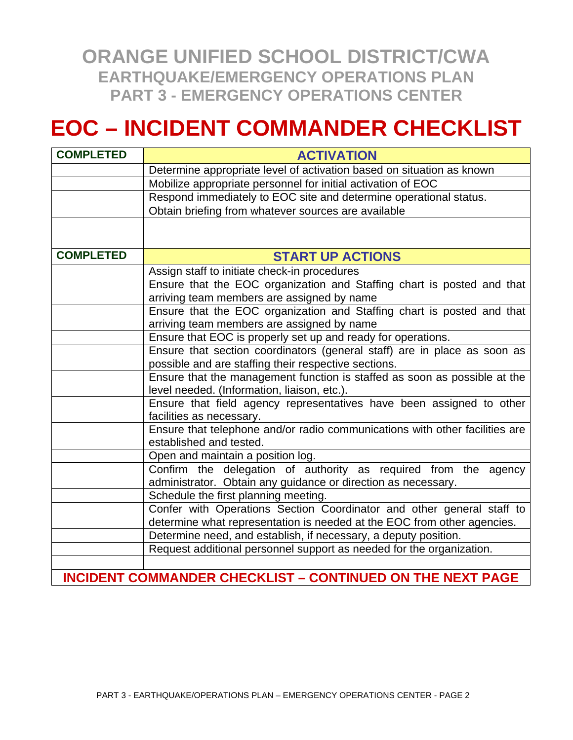# **EOC – INCIDENT COMMANDER CHECKLIST**

| <b>COMPLETED</b> | <b>ACTIVATION</b>                                                                                                                |
|------------------|----------------------------------------------------------------------------------------------------------------------------------|
|                  | Determine appropriate level of activation based on situation as known                                                            |
|                  | Mobilize appropriate personnel for initial activation of EOC                                                                     |
|                  | Respond immediately to EOC site and determine operational status.                                                                |
|                  | Obtain briefing from whatever sources are available                                                                              |
|                  |                                                                                                                                  |
| <b>COMPLETED</b> | <b>START UP ACTIONS</b>                                                                                                          |
|                  | Assign staff to initiate check-in procedures                                                                                     |
|                  | Ensure that the EOC organization and Staffing chart is posted and that<br>arriving team members are assigned by name             |
|                  | Ensure that the EOC organization and Staffing chart is posted and that<br>arriving team members are assigned by name             |
|                  | Ensure that EOC is properly set up and ready for operations.                                                                     |
|                  | Ensure that section coordinators (general staff) are in place as soon as<br>possible and are staffing their respective sections. |
|                  | Ensure that the management function is staffed as soon as possible at the<br>level needed. (Information, liaison, etc.).         |
|                  | Ensure that field agency representatives have been assigned to other<br>facilities as necessary.                                 |
|                  | Ensure that telephone and/or radio communications with other facilities are<br>established and tested.                           |
|                  | Open and maintain a position log.                                                                                                |
|                  | Confirm the delegation of authority as required from the agency<br>administrator. Obtain any guidance or direction as necessary. |
|                  | Schedule the first planning meeting.                                                                                             |
|                  | Confer with Operations Section Coordinator and other general staff to                                                            |
|                  | determine what representation is needed at the EOC from other agencies.                                                          |
|                  | Determine need, and establish, if necessary, a deputy position.                                                                  |
|                  | Request additional personnel support as needed for the organization.                                                             |
|                  |                                                                                                                                  |
|                  | <b>INCIDENT COMMANDER CHECKLIST - CONTINUED ON THE NEXT PAGE</b>                                                                 |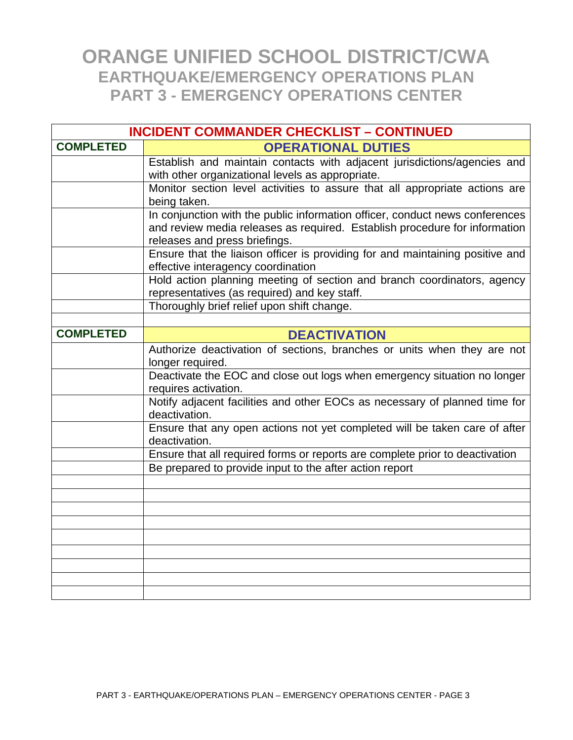| <b>INCIDENT COMMANDER CHECKLIST - CONTINUED</b> |                                                                                                                |
|-------------------------------------------------|----------------------------------------------------------------------------------------------------------------|
| <b>COMPLETED</b>                                | <b>OPERATIONAL DUTIES</b>                                                                                      |
|                                                 | Establish and maintain contacts with adjacent jurisdictions/agencies and                                       |
|                                                 | with other organizational levels as appropriate.                                                               |
|                                                 | Monitor section level activities to assure that all appropriate actions are                                    |
|                                                 | being taken.                                                                                                   |
|                                                 | In conjunction with the public information officer, conduct news conferences                                   |
|                                                 | and review media releases as required. Establish procedure for information                                     |
|                                                 | releases and press briefings.<br>Ensure that the liaison officer is providing for and maintaining positive and |
|                                                 | effective interagency coordination                                                                             |
|                                                 | Hold action planning meeting of section and branch coordinators, agency                                        |
|                                                 | representatives (as required) and key staff.                                                                   |
|                                                 | Thoroughly brief relief upon shift change.                                                                     |
|                                                 |                                                                                                                |
| <b>COMPLETED</b>                                | <b>DEACTIVATION</b>                                                                                            |
|                                                 | Authorize deactivation of sections, branches or units when they are not                                        |
|                                                 | longer required.                                                                                               |
|                                                 | Deactivate the EOC and close out logs when emergency situation no longer                                       |
|                                                 | requires activation.                                                                                           |
|                                                 | Notify adjacent facilities and other EOCs as necessary of planned time for<br>deactivation.                    |
|                                                 | Ensure that any open actions not yet completed will be taken care of after                                     |
|                                                 | deactivation.                                                                                                  |
|                                                 | Ensure that all required forms or reports are complete prior to deactivation                                   |
|                                                 | Be prepared to provide input to the after action report                                                        |
|                                                 |                                                                                                                |
|                                                 |                                                                                                                |
|                                                 |                                                                                                                |
|                                                 |                                                                                                                |
|                                                 |                                                                                                                |
|                                                 |                                                                                                                |
|                                                 |                                                                                                                |
|                                                 |                                                                                                                |
|                                                 |                                                                                                                |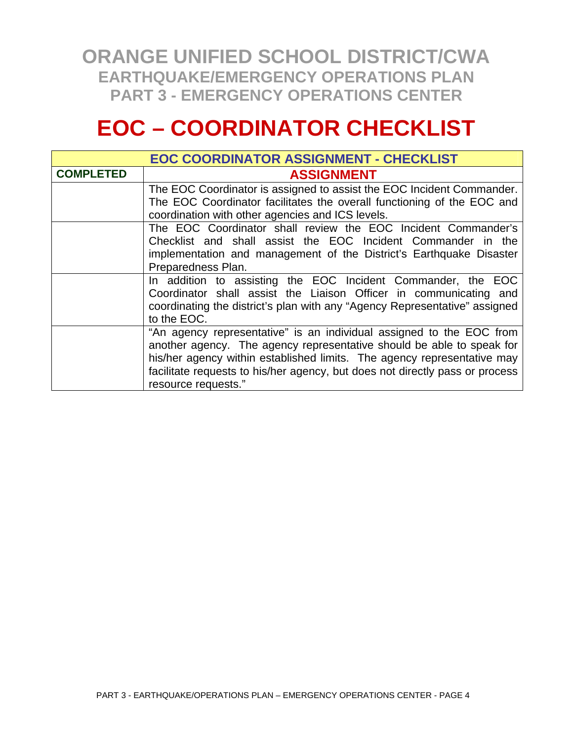# **EOC – COORDINATOR CHECKLIST**

| <b>EOC COORDINATOR ASSIGNMENT - CHECKLIST</b> |                                                                                                                                                                                                                                                                                                                                 |
|-----------------------------------------------|---------------------------------------------------------------------------------------------------------------------------------------------------------------------------------------------------------------------------------------------------------------------------------------------------------------------------------|
| <b>COMPLETED</b>                              | <b>ASSIGNMENT</b>                                                                                                                                                                                                                                                                                                               |
|                                               | The EOC Coordinator is assigned to assist the EOC Incident Commander.<br>The EOC Coordinator facilitates the overall functioning of the EOC and<br>coordination with other agencies and ICS levels.                                                                                                                             |
|                                               | The EOC Coordinator shall review the EOC Incident Commander's<br>Checklist and shall assist the EOC Incident Commander in the<br>implementation and management of the District's Earthquake Disaster<br>Preparedness Plan.                                                                                                      |
|                                               | In addition to assisting the EOC Incident Commander, the EOC<br>Coordinator shall assist the Liaison Officer in communicating and<br>coordinating the district's plan with any "Agency Representative" assigned<br>to the EOC.                                                                                                  |
|                                               | "An agency representative" is an individual assigned to the EOC from<br>another agency. The agency representative should be able to speak for<br>his/her agency within established limits. The agency representative may<br>facilitate requests to his/her agency, but does not directly pass or process<br>resource requests." |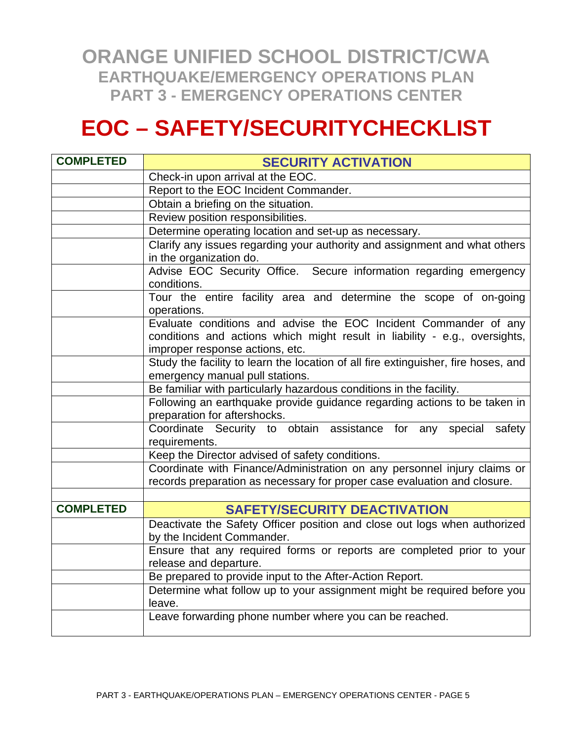# **EOC – SAFETY/SECURITYCHECKLIST**

| <b>COMPLETED</b> | <b>SECURITY ACTIVATION</b>                                                                                                                                                        |
|------------------|-----------------------------------------------------------------------------------------------------------------------------------------------------------------------------------|
|                  | Check-in upon arrival at the EOC.                                                                                                                                                 |
|                  | Report to the EOC Incident Commander.                                                                                                                                             |
|                  | Obtain a briefing on the situation.                                                                                                                                               |
|                  | Review position responsibilities.                                                                                                                                                 |
|                  | Determine operating location and set-up as necessary.                                                                                                                             |
|                  | Clarify any issues regarding your authority and assignment and what others                                                                                                        |
|                  | in the organization do.                                                                                                                                                           |
|                  | Advise EOC Security Office. Secure information regarding emergency<br>conditions.                                                                                                 |
|                  | Tour the entire facility area and determine the scope of on-going<br>operations.                                                                                                  |
|                  | Evaluate conditions and advise the EOC Incident Commander of any<br>conditions and actions which might result in liability - e.g., oversights,<br>improper response actions, etc. |
|                  | Study the facility to learn the location of all fire extinguisher, fire hoses, and                                                                                                |
|                  | emergency manual pull stations.                                                                                                                                                   |
|                  | Be familiar with particularly hazardous conditions in the facility.                                                                                                               |
|                  | Following an earthquake provide guidance regarding actions to be taken in<br>preparation for aftershocks.                                                                         |
|                  | Coordinate Security to obtain assistance for any special<br>safety<br>requirements.                                                                                               |
|                  | Keep the Director advised of safety conditions.                                                                                                                                   |
|                  | Coordinate with Finance/Administration on any personnel injury claims or                                                                                                          |
|                  | records preparation as necessary for proper case evaluation and closure.                                                                                                          |
|                  |                                                                                                                                                                                   |
| <b>COMPLETED</b> | <b>SAFETY/SECURITY DEACTIVATION</b>                                                                                                                                               |
|                  | Deactivate the Safety Officer position and close out logs when authorized                                                                                                         |
|                  | by the Incident Commander.                                                                                                                                                        |
|                  | Ensure that any required forms or reports are completed prior to your                                                                                                             |
|                  | release and departure.                                                                                                                                                            |
|                  | Be prepared to provide input to the After-Action Report.                                                                                                                          |
|                  | Determine what follow up to your assignment might be required before you<br>leave.                                                                                                |
|                  | Leave forwarding phone number where you can be reached.                                                                                                                           |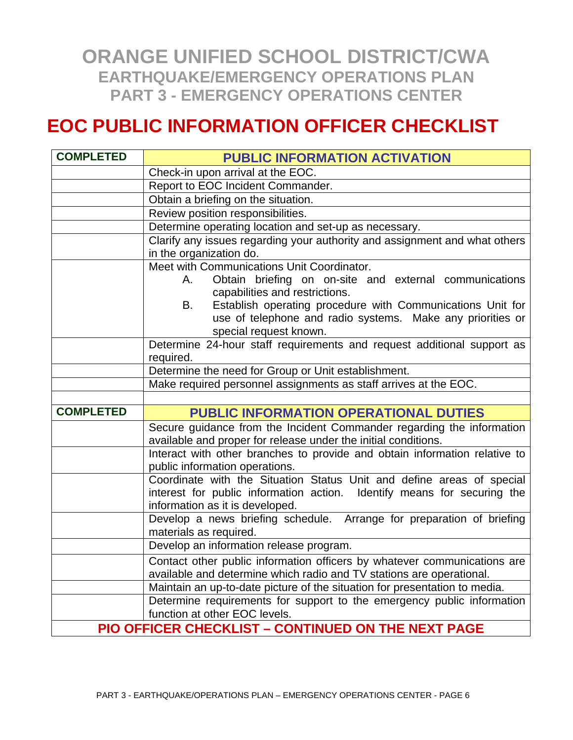#### **EOC PUBLIC INFORMATION OFFICER CHECKLIST**

| <b>COMPLETED</b> | <b>PUBLIC INFORMATION ACTIVATION</b>                                                                                                                                                |
|------------------|-------------------------------------------------------------------------------------------------------------------------------------------------------------------------------------|
|                  | Check-in upon arrival at the EOC.                                                                                                                                                   |
|                  | Report to EOC Incident Commander.                                                                                                                                                   |
|                  | Obtain a briefing on the situation.                                                                                                                                                 |
|                  | Review position responsibilities.                                                                                                                                                   |
|                  | Determine operating location and set-up as necessary.                                                                                                                               |
|                  | Clarify any issues regarding your authority and assignment and what others<br>in the organization do.                                                                               |
|                  | Meet with Communications Unit Coordinator.                                                                                                                                          |
|                  | Obtain briefing on on-site and external communications<br>A. .<br>capabilities and restrictions.                                                                                    |
|                  | Establish operating procedure with Communications Unit for<br>B.<br>use of telephone and radio systems. Make any priorities or<br>special request known.                            |
|                  | Determine 24-hour staff requirements and request additional support as<br>required.                                                                                                 |
|                  | Determine the need for Group or Unit establishment.                                                                                                                                 |
|                  | Make required personnel assignments as staff arrives at the EOC.                                                                                                                    |
|                  |                                                                                                                                                                                     |
| <b>COMPLETED</b> | <b>PUBLIC INFORMATION OPERATIONAL DUTIES</b>                                                                                                                                        |
|                  | Secure guidance from the Incident Commander regarding the information<br>available and proper for release under the initial conditions.                                             |
|                  | Interact with other branches to provide and obtain information relative to<br>public information operations.                                                                        |
|                  | Coordinate with the Situation Status Unit and define areas of special<br>interest for public information action. Identify means for securing the<br>information as it is developed. |
|                  | Develop a news briefing schedule. Arrange for preparation of briefing<br>materials as required.                                                                                     |
|                  | Develop an information release program.                                                                                                                                             |
|                  | Contact other public information officers by whatever communications are<br>available and determine which radio and TV stations are operational.                                    |
|                  | Maintain an up-to-date picture of the situation for presentation to media.                                                                                                          |
|                  | Determine requirements for support to the emergency public information<br>function at other EOC levels.                                                                             |
|                  | PIO OFFICER CHECKLIST - CONTINUED ON THE NEXT PAGE                                                                                                                                  |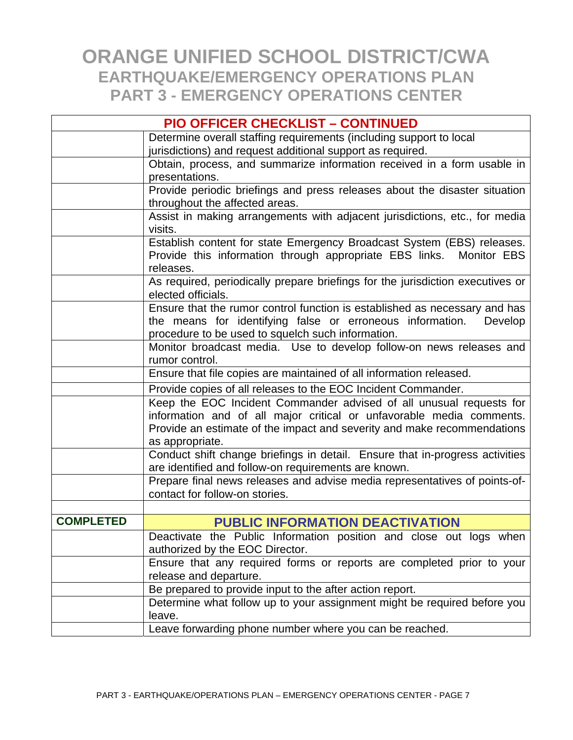|                  | <b>PIO OFFICER CHECKLIST - CONTINUED</b>                                                                                 |
|------------------|--------------------------------------------------------------------------------------------------------------------------|
|                  | Determine overall staffing requirements (including support to local                                                      |
|                  | jurisdictions) and request additional support as required.                                                               |
|                  | Obtain, process, and summarize information received in a form usable in                                                  |
|                  | presentations.                                                                                                           |
|                  | Provide periodic briefings and press releases about the disaster situation                                               |
|                  | throughout the affected areas.                                                                                           |
|                  | Assist in making arrangements with adjacent jurisdictions, etc., for media                                               |
|                  | visits.                                                                                                                  |
|                  | Establish content for state Emergency Broadcast System (EBS) releases.                                                   |
|                  | Provide this information through appropriate EBS links. Monitor EBS                                                      |
|                  | releases.                                                                                                                |
|                  | As required, periodically prepare briefings for the jurisdiction executives or                                           |
|                  | elected officials.                                                                                                       |
|                  | Ensure that the rumor control function is established as necessary and has                                               |
|                  | the means for identifying false or erroneous information.<br>Develop                                                     |
|                  | procedure to be used to squelch such information.<br>Monitor broadcast media. Use to develop follow-on news releases and |
|                  | rumor control.                                                                                                           |
|                  | Ensure that file copies are maintained of all information released.                                                      |
|                  |                                                                                                                          |
|                  | Provide copies of all releases to the EOC Incident Commander.                                                            |
|                  | Keep the EOC Incident Commander advised of all unusual requests for                                                      |
|                  | information and of all major critical or unfavorable media comments.                                                     |
|                  | Provide an estimate of the impact and severity and make recommendations<br>as appropriate.                               |
|                  | Conduct shift change briefings in detail. Ensure that in-progress activities                                             |
|                  | are identified and follow-on requirements are known.                                                                     |
|                  | Prepare final news releases and advise media representatives of points-of-                                               |
|                  | contact for follow-on stories.                                                                                           |
|                  |                                                                                                                          |
| <b>COMPLETED</b> | <b>PUBLIC INFORMATION DEACTIVATION</b>                                                                                   |
|                  | Deactivate the Public Information position and close out logs when                                                       |
|                  | authorized by the EOC Director.                                                                                          |
|                  | Ensure that any required forms or reports are completed prior to your                                                    |
|                  | release and departure.                                                                                                   |
|                  | Be prepared to provide input to the after action report.                                                                 |
|                  | Determine what follow up to your assignment might be required before you                                                 |
|                  | leave.                                                                                                                   |
|                  | Leave forwarding phone number where you can be reached.                                                                  |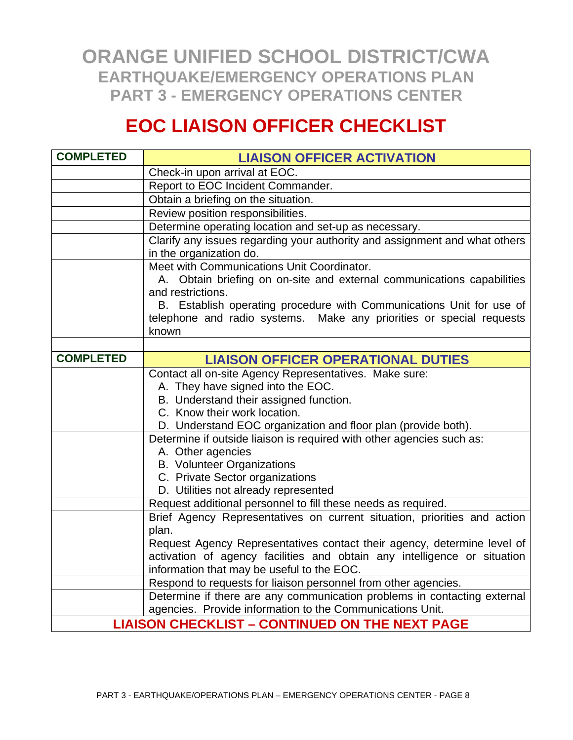### **EOC LIAISON OFFICER CHECKLIST**

| <b>COMPLETED</b> | <b>LIAISON OFFICER ACTIVATION</b>                                                                                                                                                                                                      |
|------------------|----------------------------------------------------------------------------------------------------------------------------------------------------------------------------------------------------------------------------------------|
|                  | Check-in upon arrival at EOC.                                                                                                                                                                                                          |
|                  | Report to EOC Incident Commander.                                                                                                                                                                                                      |
|                  | Obtain a briefing on the situation.                                                                                                                                                                                                    |
|                  | Review position responsibilities.                                                                                                                                                                                                      |
|                  | Determine operating location and set-up as necessary.                                                                                                                                                                                  |
|                  | Clarify any issues regarding your authority and assignment and what others<br>in the organization do.                                                                                                                                  |
|                  | Meet with Communications Unit Coordinator.<br>A. Obtain briefing on on-site and external communications capabilities                                                                                                                   |
|                  | and restrictions.                                                                                                                                                                                                                      |
|                  | B. Establish operating procedure with Communications Unit for use of<br>telephone and radio systems. Make any priorities or special requests<br>known                                                                                  |
|                  |                                                                                                                                                                                                                                        |
| <b>COMPLETED</b> | <b>LIAISON OFFICER OPERATIONAL DUTIES</b>                                                                                                                                                                                              |
|                  | Contact all on-site Agency Representatives. Make sure:<br>A. They have signed into the EOC.<br>B. Understand their assigned function.<br>C. Know their work location.<br>D. Understand EOC organization and floor plan (provide both). |
|                  | Determine if outside liaison is required with other agencies such as:<br>A. Other agencies<br><b>B. Volunteer Organizations</b><br>C. Private Sector organizations<br>D. Utilities not already represented                             |
|                  | Request additional personnel to fill these needs as required.                                                                                                                                                                          |
|                  | Brief Agency Representatives on current situation, priorities and action<br>plan.                                                                                                                                                      |
|                  | Request Agency Representatives contact their agency, determine level of<br>activation of agency facilities and obtain any intelligence or situation<br>information that may be useful to the EOC.                                      |
|                  | Respond to requests for liaison personnel from other agencies.                                                                                                                                                                         |
|                  | Determine if there are any communication problems in contacting external<br>agencies. Provide information to the Communications Unit.                                                                                                  |
|                  | <b>LIAISON CHECKLIST - CONTINUED ON THE NEXT PAGE</b>                                                                                                                                                                                  |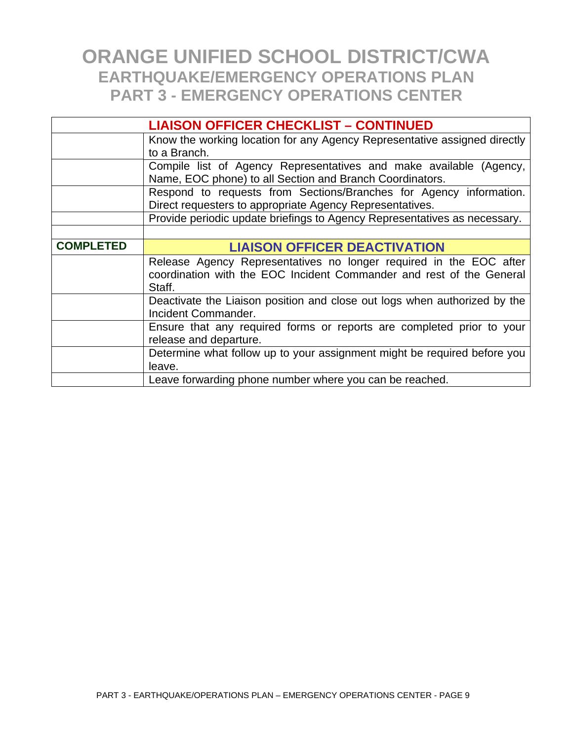| <b>LIAISON OFFICER CHECKLIST - CONTINUED</b> |                                                                                |
|----------------------------------------------|--------------------------------------------------------------------------------|
|                                              | Know the working location for any Agency Representative assigned directly      |
|                                              | to a Branch.                                                                   |
|                                              | Compile list of Agency Representatives and make available (Agency,             |
|                                              | Name, EOC phone) to all Section and Branch Coordinators.                       |
|                                              | Respond to requests from Sections/Branches for Agency information.             |
|                                              | Direct requesters to appropriate Agency Representatives.                       |
|                                              | Provide periodic update briefings to Agency Representatives as necessary.      |
|                                              |                                                                                |
| <b>COMPLETED</b>                             | <b>LIAISON OFFICER DEACTIVATION</b>                                            |
|                                              | Release Agency Representatives no longer required in the EOC after             |
|                                              | coordination with the EOC Incident Commander and rest of the General<br>Staff. |
|                                              | Deactivate the Liaison position and close out logs when authorized by the      |
|                                              | Incident Commander.                                                            |
|                                              | Ensure that any required forms or reports are completed prior to your          |
|                                              | release and departure.                                                         |
|                                              | Determine what follow up to your assignment might be required before you       |
|                                              | leave.                                                                         |
|                                              | Leave forwarding phone number where you can be reached.                        |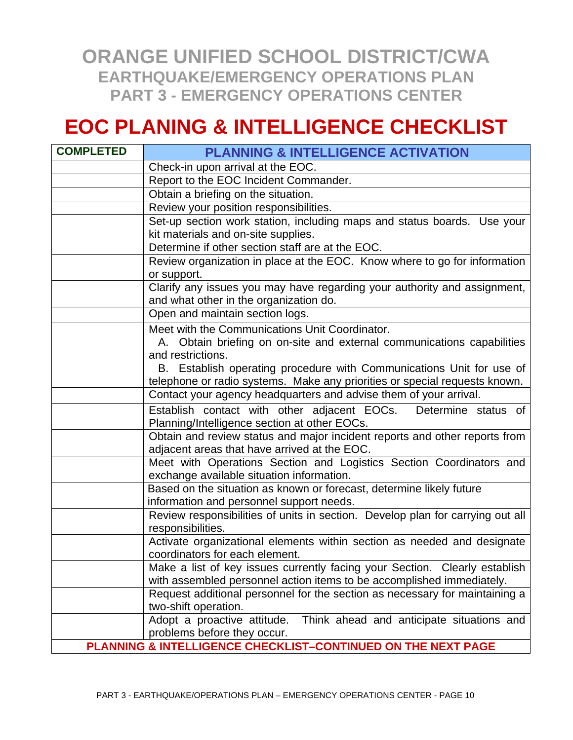### **EOC PLANING & INTELLIGENCE CHECKLIST**

| <b>COMPLETED</b> | <b>PLANNING &amp; INTELLIGENCE ACTIVATION</b>                                                                    |
|------------------|------------------------------------------------------------------------------------------------------------------|
|                  | Check-in upon arrival at the EOC.                                                                                |
|                  | Report to the EOC Incident Commander.                                                                            |
|                  | Obtain a briefing on the situation.                                                                              |
|                  | Review your position responsibilities.                                                                           |
|                  | Set-up section work station, including maps and status boards. Use your                                          |
|                  | kit materials and on-site supplies.                                                                              |
|                  | Determine if other section staff are at the EOC.                                                                 |
|                  | Review organization in place at the EOC. Know where to go for information                                        |
|                  | or support.                                                                                                      |
|                  | Clarify any issues you may have regarding your authority and assignment,                                         |
|                  | and what other in the organization do.                                                                           |
|                  | Open and maintain section logs.                                                                                  |
|                  | Meet with the Communications Unit Coordinator.                                                                   |
|                  | A. Obtain briefing on on-site and external communications capabilities                                           |
|                  | and restrictions.                                                                                                |
|                  | B. Establish operating procedure with Communications Unit for use of                                             |
|                  | telephone or radio systems. Make any priorities or special requests known.                                       |
|                  | Contact your agency headquarters and advise them of your arrival.                                                |
|                  | Establish contact with other adjacent EOCs.<br>Determine status of                                               |
|                  | Planning/Intelligence section at other EOCs.                                                                     |
|                  | Obtain and review status and major incident reports and other reports from                                       |
|                  | adjacent areas that have arrived at the EOC.                                                                     |
|                  | Meet with Operations Section and Logistics Section Coordinators and<br>exchange available situation information. |
|                  | Based on the situation as known or forecast, determine likely future                                             |
|                  | information and personnel support needs.                                                                         |
|                  | Review responsibilities of units in section. Develop plan for carrying out all                                   |
|                  | responsibilities.                                                                                                |
|                  | Activate organizational elements within section as needed and designate                                          |
|                  | coordinators for each element.                                                                                   |
|                  | Make a list of key issues currently facing your Section. Clearly establish                                       |
|                  | with assembled personnel action items to be accomplished immediately.                                            |
|                  | Request additional personnel for the section as necessary for maintaining a                                      |
|                  | two-shift operation.                                                                                             |
|                  | Adopt a proactive attitude.<br>Think ahead and anticipate situations and                                         |
|                  | problems before they occur.                                                                                      |
|                  | PLANNING & INTELLIGENCE CHECKLIST-CONTINUED ON THE NEXT PAGE                                                     |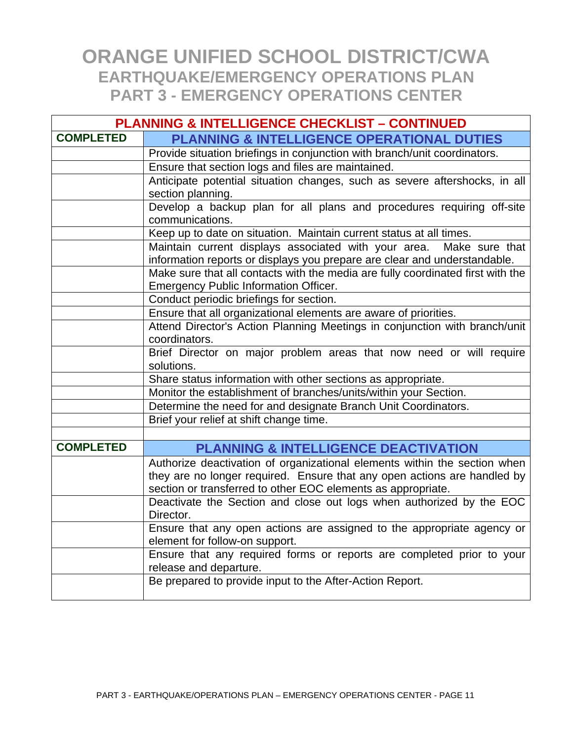|                  | <b>PLANNING &amp; INTELLIGENCE CHECKLIST - CONTINUED</b>                                                                                         |  |
|------------------|--------------------------------------------------------------------------------------------------------------------------------------------------|--|
| <b>COMPLETED</b> | <b>PLANNING &amp; INTELLIGENCE OPERATIONAL DUTIES</b>                                                                                            |  |
|                  | Provide situation briefings in conjunction with branch/unit coordinators.                                                                        |  |
|                  | Ensure that section logs and files are maintained.                                                                                               |  |
|                  | Anticipate potential situation changes, such as severe aftershocks, in all                                                                       |  |
|                  | section planning.                                                                                                                                |  |
|                  | Develop a backup plan for all plans and procedures requiring off-site                                                                            |  |
|                  | communications.                                                                                                                                  |  |
|                  | Keep up to date on situation. Maintain current status at all times.                                                                              |  |
|                  | Maintain current displays associated with your area. Make sure that<br>information reports or displays you prepare are clear and understandable. |  |
|                  | Make sure that all contacts with the media are fully coordinated first with the                                                                  |  |
|                  | <b>Emergency Public Information Officer.</b>                                                                                                     |  |
|                  | Conduct periodic briefings for section.                                                                                                          |  |
|                  | Ensure that all organizational elements are aware of priorities.                                                                                 |  |
|                  | Attend Director's Action Planning Meetings in conjunction with branch/unit                                                                       |  |
|                  | coordinators.                                                                                                                                    |  |
|                  | Brief Director on major problem areas that now need or will require                                                                              |  |
|                  | solutions.                                                                                                                                       |  |
|                  | Share status information with other sections as appropriate.                                                                                     |  |
|                  | Monitor the establishment of branches/units/within your Section.                                                                                 |  |
|                  | Determine the need for and designate Branch Unit Coordinators.<br>Brief your relief at shift change time.                                        |  |
|                  |                                                                                                                                                  |  |
| <b>COMPLETED</b> | <b>PLANNING &amp; INTELLIGENCE DEACTIVATION</b>                                                                                                  |  |
|                  | Authorize deactivation of organizational elements within the section when                                                                        |  |
|                  | they are no longer required. Ensure that any open actions are handled by                                                                         |  |
|                  | section or transferred to other EOC elements as appropriate.                                                                                     |  |
|                  | Deactivate the Section and close out logs when authorized by the EOC                                                                             |  |
|                  | Director.                                                                                                                                        |  |
|                  | Ensure that any open actions are assigned to the appropriate agency or                                                                           |  |
|                  | element for follow-on support.                                                                                                                   |  |
|                  | Ensure that any required forms or reports are completed prior to your                                                                            |  |
|                  | release and departure.                                                                                                                           |  |
|                  | Be prepared to provide input to the After-Action Report.                                                                                         |  |
|                  |                                                                                                                                                  |  |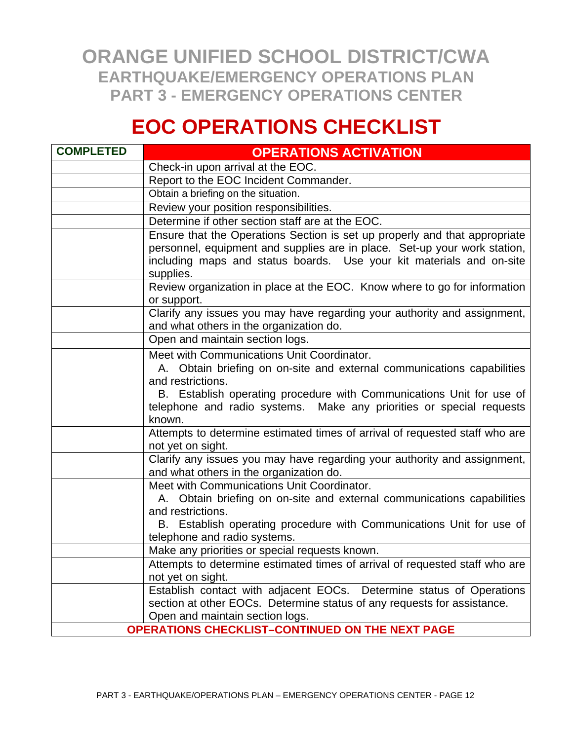# **EOC OPERATIONS CHECKLIST**

| <b>COMPLETED</b> | <b>OPERATIONS ACTIVATION</b>                                                                                                                                                                                                                      |
|------------------|---------------------------------------------------------------------------------------------------------------------------------------------------------------------------------------------------------------------------------------------------|
|                  | Check-in upon arrival at the EOC.                                                                                                                                                                                                                 |
|                  | Report to the EOC Incident Commander.                                                                                                                                                                                                             |
|                  | Obtain a briefing on the situation.                                                                                                                                                                                                               |
|                  | Review your position responsibilities.                                                                                                                                                                                                            |
|                  | Determine if other section staff are at the EOC.                                                                                                                                                                                                  |
|                  | Ensure that the Operations Section is set up properly and that appropriate<br>personnel, equipment and supplies are in place. Set-up your work station,<br>including maps and status boards. Use your kit materials and on-site<br>supplies.      |
|                  | Review organization in place at the EOC. Know where to go for information<br>or support.                                                                                                                                                          |
|                  | Clarify any issues you may have regarding your authority and assignment,<br>and what others in the organization do.                                                                                                                               |
|                  | Open and maintain section logs.                                                                                                                                                                                                                   |
|                  | Meet with Communications Unit Coordinator.<br>A. Obtain briefing on on-site and external communications capabilities<br>and restrictions.<br>B. Establish operating procedure with Communications Unit for use of                                 |
|                  | telephone and radio systems. Make any priorities or special requests<br>known.                                                                                                                                                                    |
|                  | Attempts to determine estimated times of arrival of requested staff who are<br>not yet on sight.                                                                                                                                                  |
|                  | Clarify any issues you may have regarding your authority and assignment,<br>and what others in the organization do.                                                                                                                               |
|                  | Meet with Communications Unit Coordinator.<br>A. Obtain briefing on on-site and external communications capabilities<br>and restrictions.<br>B. Establish operating procedure with Communications Unit for use of<br>telephone and radio systems. |
|                  | Make any priorities or special requests known.                                                                                                                                                                                                    |
|                  | Attempts to determine estimated times of arrival of requested staff who are<br>not yet on sight.                                                                                                                                                  |
|                  | Establish contact with adjacent EOCs. Determine status of Operations<br>section at other EOCs. Determine status of any requests for assistance.<br>Open and maintain section logs.                                                                |
|                  | OPERATIONS CHECKLIST-CONTINUED ON THE NEXT PAGE                                                                                                                                                                                                   |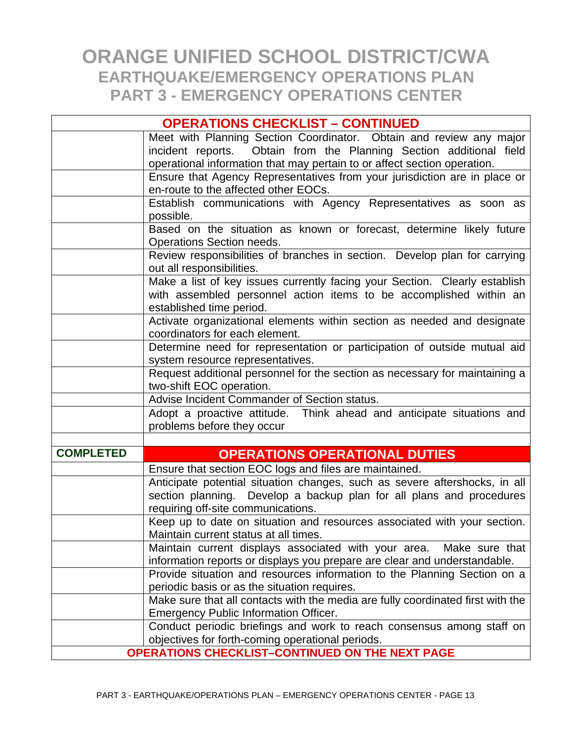|                  | <b>OPERATIONS CHECKLIST - CONTINUED</b>                                                                                                               |
|------------------|-------------------------------------------------------------------------------------------------------------------------------------------------------|
|                  | Meet with Planning Section Coordinator. Obtain and review any major                                                                                   |
|                  | incident reports. Obtain from the Planning Section additional field                                                                                   |
|                  | operational information that may pertain to or affect section operation.<br>Ensure that Agency Representatives from your jurisdiction are in place or |
|                  | en-route to the affected other EOCs.                                                                                                                  |
|                  | Establish communications with Agency Representatives as soon as                                                                                       |
|                  | possible.                                                                                                                                             |
|                  | Based on the situation as known or forecast, determine likely future<br>Operations Section needs.                                                     |
|                  | Review responsibilities of branches in section. Develop plan for carrying                                                                             |
|                  | out all responsibilities.                                                                                                                             |
|                  | Make a list of key issues currently facing your Section. Clearly establish                                                                            |
|                  | with assembled personnel action items to be accomplished within an                                                                                    |
|                  | established time period.                                                                                                                              |
|                  | Activate organizational elements within section as needed and designate<br>coordinators for each element.                                             |
|                  | Determine need for representation or participation of outside mutual aid                                                                              |
|                  | system resource representatives.                                                                                                                      |
|                  | Request additional personnel for the section as necessary for maintaining a                                                                           |
|                  | two-shift EOC operation.                                                                                                                              |
|                  | Advise Incident Commander of Section status.                                                                                                          |
|                  | Adopt a proactive attitude. Think ahead and anticipate situations and<br>problems before they occur                                                   |
|                  |                                                                                                                                                       |
| <b>COMPLETED</b> | <b>OPERATIONS OPERATIONAL DUTIES</b>                                                                                                                  |
|                  | Ensure that section EOC logs and files are maintained.                                                                                                |
|                  | Anticipate potential situation changes, such as severe aftershocks, in all                                                                            |
|                  | section planning. Develop a backup plan for all plans and procedures                                                                                  |
|                  | requiring off-site communications.                                                                                                                    |
|                  | Keep up to date on situation and resources associated with your section.<br>Maintain current status at all times.                                     |
|                  | Maintain current displays associated with your area.<br>Make sure that                                                                                |
|                  | information reports or displays you prepare are clear and understandable.                                                                             |
|                  | Provide situation and resources information to the Planning Section on a                                                                              |
|                  | periodic basis or as the situation requires.                                                                                                          |
|                  | Make sure that all contacts with the media are fully coordinated first with the                                                                       |
|                  | <b>Emergency Public Information Officer.</b>                                                                                                          |
|                  | Conduct periodic briefings and work to reach consensus among staff on                                                                                 |
|                  | objectives for forth-coming operational periods.                                                                                                      |
|                  | <b>OPERATIONS CHECKLIST-CONTINUED ON THE NEXT PAGE</b>                                                                                                |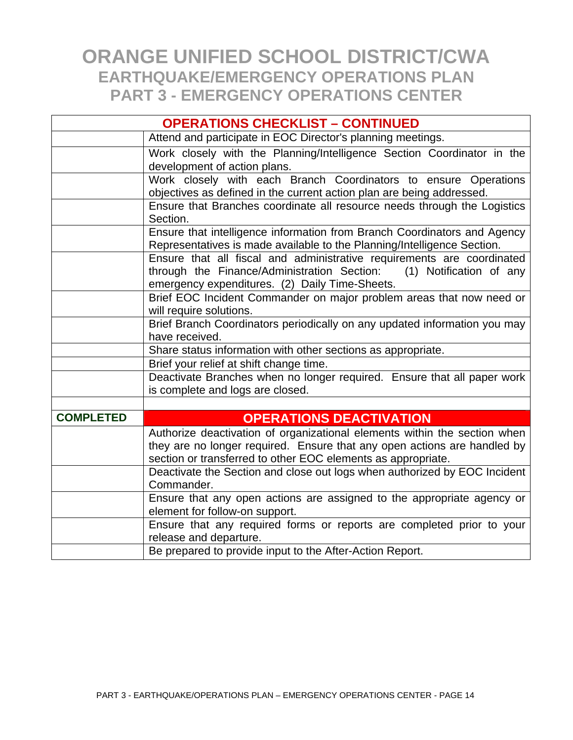| <b>OPERATIONS CHECKLIST - CONTINUED</b> |                                                                                                                                                                                                                       |
|-----------------------------------------|-----------------------------------------------------------------------------------------------------------------------------------------------------------------------------------------------------------------------|
|                                         | Attend and participate in EOC Director's planning meetings.                                                                                                                                                           |
|                                         | Work closely with the Planning/Intelligence Section Coordinator in the<br>development of action plans.                                                                                                                |
|                                         | Work closely with each Branch Coordinators to ensure Operations<br>objectives as defined in the current action plan are being addressed.                                                                              |
|                                         | Ensure that Branches coordinate all resource needs through the Logistics<br>Section.                                                                                                                                  |
|                                         | Ensure that intelligence information from Branch Coordinators and Agency<br>Representatives is made available to the Planning/Intelligence Section.                                                                   |
|                                         | Ensure that all fiscal and administrative requirements are coordinated<br>through the Finance/Administration Section:<br>(1) Notification of any<br>emergency expenditures. (2) Daily Time-Sheets.                    |
|                                         | Brief EOC Incident Commander on major problem areas that now need or<br>will require solutions.                                                                                                                       |
|                                         | Brief Branch Coordinators periodically on any updated information you may<br>have received.                                                                                                                           |
|                                         | Share status information with other sections as appropriate.                                                                                                                                                          |
|                                         | Brief your relief at shift change time.                                                                                                                                                                               |
|                                         | Deactivate Branches when no longer required. Ensure that all paper work<br>is complete and logs are closed.                                                                                                           |
|                                         |                                                                                                                                                                                                                       |
| <b>COMPLETED</b>                        | <b>OPERATIONS DEACTIVATION</b>                                                                                                                                                                                        |
|                                         | Authorize deactivation of organizational elements within the section when<br>they are no longer required. Ensure that any open actions are handled by<br>section or transferred to other EOC elements as appropriate. |
|                                         | Deactivate the Section and close out logs when authorized by EOC Incident<br>Commander.                                                                                                                               |
|                                         | Ensure that any open actions are assigned to the appropriate agency or<br>element for follow-on support.                                                                                                              |
|                                         | Ensure that any required forms or reports are completed prior to your<br>release and departure.                                                                                                                       |
|                                         | Be prepared to provide input to the After-Action Report.                                                                                                                                                              |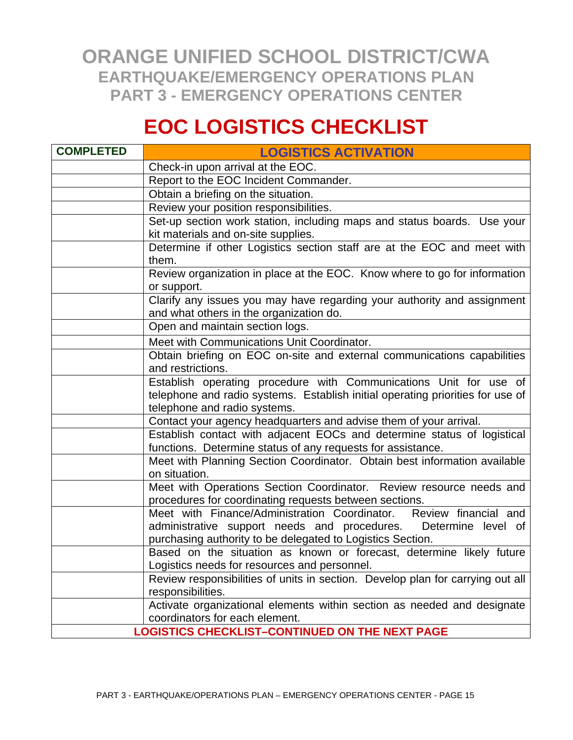## **EOC LOGISTICS CHECKLIST**

| <b>COMPLETED</b> | <b>LOGISTICS ACTIVATION</b>                                                                                                            |
|------------------|----------------------------------------------------------------------------------------------------------------------------------------|
|                  | Check-in upon arrival at the EOC.                                                                                                      |
|                  | Report to the EOC Incident Commander.                                                                                                  |
|                  | Obtain a briefing on the situation.                                                                                                    |
|                  | Review your position responsibilities.                                                                                                 |
|                  | Set-up section work station, including maps and status boards. Use your                                                                |
|                  | kit materials and on-site supplies.                                                                                                    |
|                  | Determine if other Logistics section staff are at the EOC and meet with<br>them.                                                       |
|                  | Review organization in place at the EOC. Know where to go for information<br>or support.                                               |
|                  | Clarify any issues you may have regarding your authority and assignment<br>and what others in the organization do.                     |
|                  | Open and maintain section logs.                                                                                                        |
|                  | Meet with Communications Unit Coordinator.                                                                                             |
|                  | Obtain briefing on EOC on-site and external communications capabilities<br>and restrictions.                                           |
|                  | Establish operating procedure with Communications Unit for use of                                                                      |
|                  | telephone and radio systems. Establish initial operating priorities for use of<br>telephone and radio systems.                         |
|                  | Contact your agency headquarters and advise them of your arrival.                                                                      |
|                  | Establish contact with adjacent EOCs and determine status of logistical<br>functions. Determine status of any requests for assistance. |
|                  | Meet with Planning Section Coordinator. Obtain best information available<br>on situation.                                             |
|                  | Meet with Operations Section Coordinator. Review resource needs and<br>procedures for coordinating requests between sections.          |
|                  | Meet with Finance/Administration Coordinator.<br>Review financial and                                                                  |
|                  | administrative support needs and procedures.<br>Determine level of                                                                     |
|                  | purchasing authority to be delegated to Logistics Section.                                                                             |
|                  | Based on the situation as known or forecast, determine likely future                                                                   |
|                  | Logistics needs for resources and personnel.                                                                                           |
|                  | Review responsibilities of units in section. Develop plan for carrying out all<br>responsibilities.                                    |
|                  | Activate organizational elements within section as needed and designate                                                                |
|                  | coordinators for each element.                                                                                                         |
|                  | <b>LOGISTICS CHECKLIST-CONTINUED ON THE NEXT PAGE</b>                                                                                  |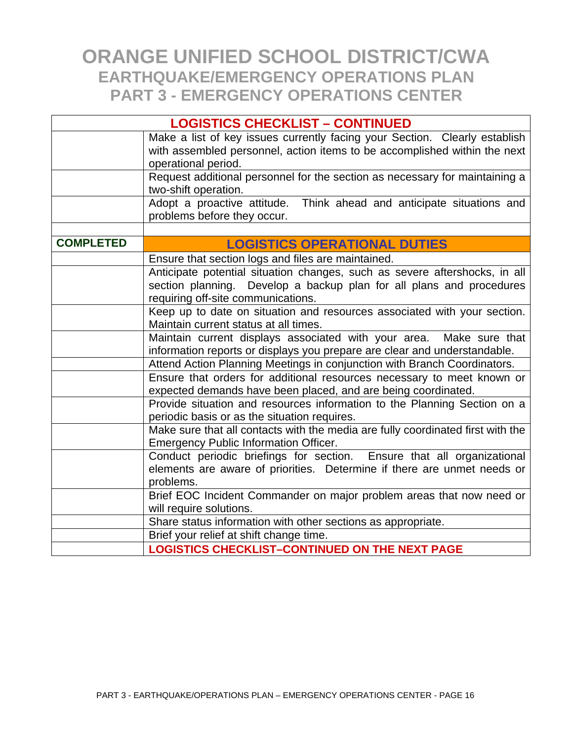| <b>LOGISTICS CHECKLIST - CONTINUED</b> |                                                                                                                                                                                          |  |
|----------------------------------------|------------------------------------------------------------------------------------------------------------------------------------------------------------------------------------------|--|
|                                        | Make a list of key issues currently facing your Section. Clearly establish<br>with assembled personnel, action items to be accomplished within the next<br>operational period.           |  |
|                                        | Request additional personnel for the section as necessary for maintaining a<br>two-shift operation.                                                                                      |  |
|                                        | Adopt a proactive attitude.<br>Think ahead and anticipate situations and<br>problems before they occur.                                                                                  |  |
|                                        |                                                                                                                                                                                          |  |
| <b>COMPLETED</b>                       | <b>LOGISTICS OPERATIONAL DUTIES</b>                                                                                                                                                      |  |
|                                        | Ensure that section logs and files are maintained.                                                                                                                                       |  |
|                                        | Anticipate potential situation changes, such as severe aftershocks, in all<br>section planning. Develop a backup plan for all plans and procedures<br>requiring off-site communications. |  |
|                                        | Keep up to date on situation and resources associated with your section.<br>Maintain current status at all times.                                                                        |  |
|                                        | Maintain current displays associated with your area. Make sure that<br>information reports or displays you prepare are clear and understandable.                                         |  |
|                                        | Attend Action Planning Meetings in conjunction with Branch Coordinators.                                                                                                                 |  |
|                                        | Ensure that orders for additional resources necessary to meet known or<br>expected demands have been placed, and are being coordinated.                                                  |  |
|                                        | Provide situation and resources information to the Planning Section on a<br>periodic basis or as the situation requires.                                                                 |  |
|                                        | Make sure that all contacts with the media are fully coordinated first with the<br><b>Emergency Public Information Officer.</b>                                                          |  |
|                                        | Conduct periodic briefings for section. Ensure that all organizational<br>elements are aware of priorities. Determine if there are unmet needs or<br>problems.                           |  |
|                                        | Brief EOC Incident Commander on major problem areas that now need or<br>will require solutions.                                                                                          |  |
|                                        | Share status information with other sections as appropriate.                                                                                                                             |  |
|                                        | Brief your relief at shift change time.                                                                                                                                                  |  |
|                                        | <b>LOGISTICS CHECKLIST-CONTINUED ON THE NEXT PAGE</b>                                                                                                                                    |  |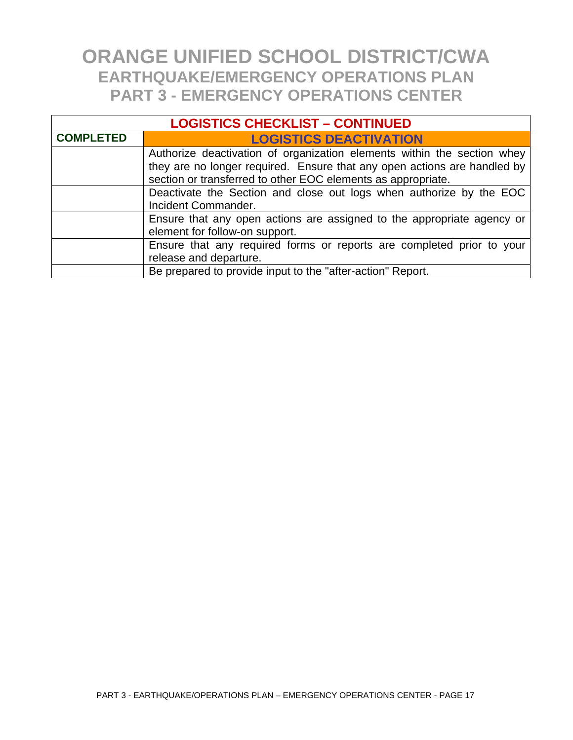| <b>LOGISTICS CHECKLIST - CONTINUED</b> |                                                                                                                                                                                                                     |  |
|----------------------------------------|---------------------------------------------------------------------------------------------------------------------------------------------------------------------------------------------------------------------|--|
| <b>COMPLETED</b>                       | <b>LOGISTICS DEACTIVATION</b>                                                                                                                                                                                       |  |
|                                        | Authorize deactivation of organization elements within the section whey<br>they are no longer required. Ensure that any open actions are handled by<br>section or transferred to other EOC elements as appropriate. |  |
|                                        | Deactivate the Section and close out logs when authorize by the EOC<br>Incident Commander.                                                                                                                          |  |
|                                        | Ensure that any open actions are assigned to the appropriate agency or<br>element for follow-on support.                                                                                                            |  |
|                                        | Ensure that any required forms or reports are completed prior to your<br>release and departure.                                                                                                                     |  |
|                                        | Be prepared to provide input to the "after-action" Report.                                                                                                                                                          |  |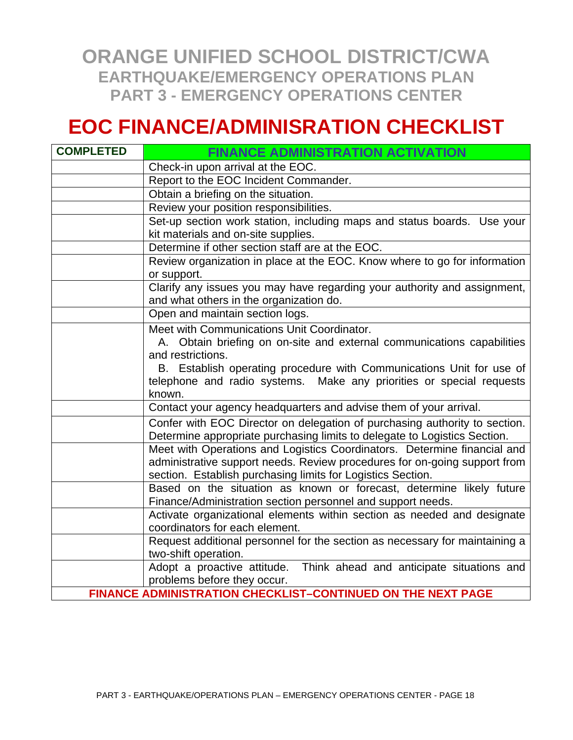### **EOC FINANCE/ADMINISRATION CHECKLIST**

| <b>COMPLETED</b> | <b>FINANCE ADMINISTRATION ACTIVATION</b>                                                                                                                                                                             |
|------------------|----------------------------------------------------------------------------------------------------------------------------------------------------------------------------------------------------------------------|
|                  | Check-in upon arrival at the EOC.                                                                                                                                                                                    |
|                  | Report to the EOC Incident Commander.                                                                                                                                                                                |
|                  | Obtain a briefing on the situation.                                                                                                                                                                                  |
|                  | Review your position responsibilities.                                                                                                                                                                               |
|                  | Set-up section work station, including maps and status boards. Use your<br>kit materials and on-site supplies.                                                                                                       |
|                  | Determine if other section staff are at the EOC.                                                                                                                                                                     |
|                  | Review organization in place at the EOC. Know where to go for information<br>or support.                                                                                                                             |
|                  | Clarify any issues you may have regarding your authority and assignment,<br>and what others in the organization do.                                                                                                  |
|                  | Open and maintain section logs.                                                                                                                                                                                      |
|                  | Meet with Communications Unit Coordinator.<br>A. Obtain briefing on on-site and external communications capabilities                                                                                                 |
|                  | and restrictions.<br>B. Establish operating procedure with Communications Unit for use of                                                                                                                            |
|                  | telephone and radio systems. Make any priorities or special requests<br>known.                                                                                                                                       |
|                  | Contact your agency headquarters and advise them of your arrival.                                                                                                                                                    |
|                  | Confer with EOC Director on delegation of purchasing authority to section.<br>Determine appropriate purchasing limits to delegate to Logistics Section.                                                              |
|                  | Meet with Operations and Logistics Coordinators. Determine financial and<br>administrative support needs. Review procedures for on-going support from<br>section. Establish purchasing limits for Logistics Section. |
|                  | Based on the situation as known or forecast, determine likely future<br>Finance/Administration section personnel and support needs.                                                                                  |
|                  | Activate organizational elements within section as needed and designate<br>coordinators for each element.                                                                                                            |
|                  | Request additional personnel for the section as necessary for maintaining a<br>two-shift operation.                                                                                                                  |
|                  | Adopt a proactive attitude. Think ahead and anticipate situations and<br>problems before they occur.                                                                                                                 |
|                  | FINANCE ADMINISTRATION CHECKLIST-CONTINUED ON THE NEXT PAGE                                                                                                                                                          |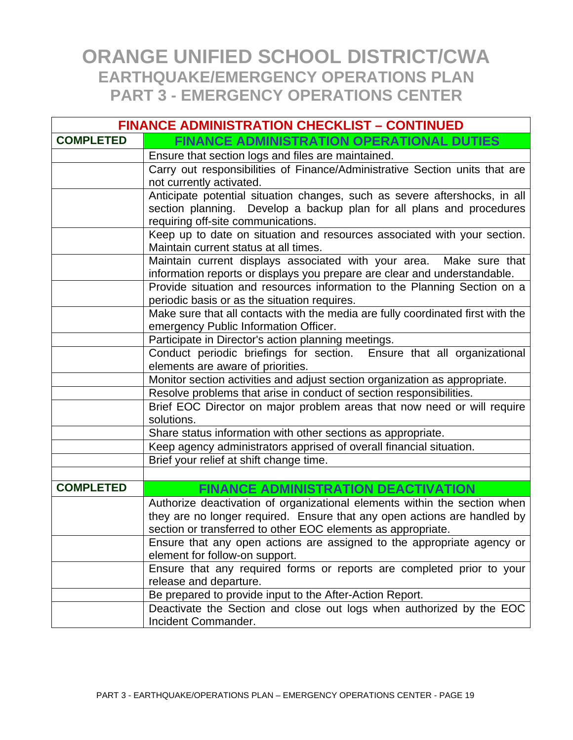| <b>FINANCE ADMINISTRATION CHECKLIST - CONTINUED</b> |                                                                                                                                                                                                                       |
|-----------------------------------------------------|-----------------------------------------------------------------------------------------------------------------------------------------------------------------------------------------------------------------------|
| <b>COMPLETED</b>                                    | <b>FINANCE ADMINISTRATION OPERATIONAL DUTIES</b>                                                                                                                                                                      |
|                                                     | Ensure that section logs and files are maintained.                                                                                                                                                                    |
|                                                     | Carry out responsibilities of Finance/Administrative Section units that are                                                                                                                                           |
|                                                     | not currently activated.<br>Anticipate potential situation changes, such as severe aftershocks, in all                                                                                                                |
|                                                     | section planning. Develop a backup plan for all plans and procedures<br>requiring off-site communications.                                                                                                            |
|                                                     | Keep up to date on situation and resources associated with your section.<br>Maintain current status at all times.                                                                                                     |
|                                                     | Maintain current displays associated with your area.<br>Make sure that<br>information reports or displays you prepare are clear and understandable.                                                                   |
|                                                     | Provide situation and resources information to the Planning Section on a<br>periodic basis or as the situation requires.                                                                                              |
|                                                     | Make sure that all contacts with the media are fully coordinated first with the<br>emergency Public Information Officer.                                                                                              |
|                                                     | Participate in Director's action planning meetings.                                                                                                                                                                   |
|                                                     | Conduct periodic briefings for section. Ensure that all organizational<br>elements are aware of priorities.                                                                                                           |
|                                                     | Monitor section activities and adjust section organization as appropriate.                                                                                                                                            |
|                                                     | Resolve problems that arise in conduct of section responsibilities.                                                                                                                                                   |
|                                                     | Brief EOC Director on major problem areas that now need or will require<br>solutions.                                                                                                                                 |
|                                                     | Share status information with other sections as appropriate.                                                                                                                                                          |
|                                                     | Keep agency administrators apprised of overall financial situation.                                                                                                                                                   |
|                                                     | Brief your relief at shift change time.                                                                                                                                                                               |
|                                                     |                                                                                                                                                                                                                       |
| <b>COMPLETED</b>                                    | <b>FINANCE ADMINISTRATION DEACTIVATION</b>                                                                                                                                                                            |
|                                                     | Authorize deactivation of organizational elements within the section when<br>they are no longer required. Ensure that any open actions are handled by<br>section or transferred to other EOC elements as appropriate. |
|                                                     | Ensure that any open actions are assigned to the appropriate agency or<br>element for follow-on support.                                                                                                              |
|                                                     | Ensure that any required forms or reports are completed prior to your<br>release and departure.                                                                                                                       |
|                                                     | Be prepared to provide input to the After-Action Report.                                                                                                                                                              |
|                                                     | Deactivate the Section and close out logs when authorized by the EOC<br>Incident Commander.                                                                                                                           |